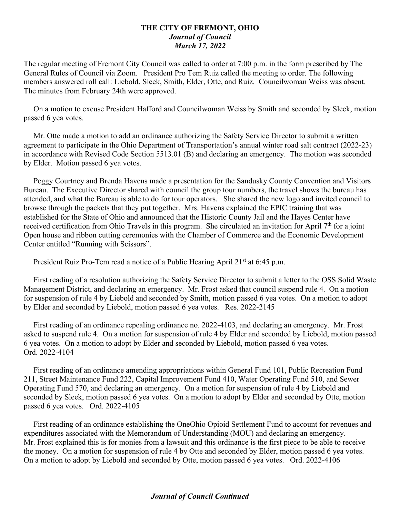## **THE CITY OF FREMONT, OHIO** *Journal of Council March 17, 2022*

The regular meeting of Fremont City Council was called to order at 7:00 p.m. in the form prescribed by The General Rules of Council via Zoom. President Pro Tem Ruiz called the meeting to order. The following members answered roll call: Liebold, Sleek, Smith, Elder, Otte, and Ruiz. Councilwoman Weiss was absent. The minutes from February 24th were approved.

 On a motion to excuse President Hafford and Councilwoman Weiss by Smith and seconded by Sleek, motion passed 6 yea votes.

 Mr. Otte made a motion to add an ordinance authorizing the Safety Service Director to submit a written agreement to participate in the Ohio Department of Transportation's annual winter road salt contract (2022-23) in accordance with Revised Code Section 5513.01 (B) and declaring an emergency. The motion was seconded by Elder. Motion passed 6 yea votes.

 Peggy Courtney and Brenda Havens made a presentation for the Sandusky County Convention and Visitors Bureau. The Executive Director shared with council the group tour numbers, the travel shows the bureau has attended, and what the Bureau is able to do for tour operators. She shared the new logo and invited council to browse through the packets that they put together. Mrs. Havens explained the EPIC training that was established for the State of Ohio and announced that the Historic County Jail and the Hayes Center have received certification from Ohio Travels in this program. She circulated an invitation for April 7<sup>th</sup> for a joint Open house and ribbon cutting ceremonies with the Chamber of Commerce and the Economic Development Center entitled "Running with Scissors".

President Ruiz Pro-Tem read a notice of a Public Hearing April 21<sup>st</sup> at 6:45 p.m.

 First reading of a resolution authorizing the Safety Service Director to submit a letter to the OSS Solid Waste Management District, and declaring an emergency. Mr. Frost asked that council suspend rule 4. On a motion for suspension of rule 4 by Liebold and seconded by Smith, motion passed 6 yea votes. On a motion to adopt by Elder and seconded by Liebold, motion passed 6 yea votes. Res. 2022-2145

 First reading of an ordinance repealing ordinance no. 2022-4103, and declaring an emergency. Mr. Frost asked to suspend rule 4. On a motion for suspension of rule 4 by Elder and seconded by Liebold, motion passed 6 yea votes. On a motion to adopt by Elder and seconded by Liebold, motion passed 6 yea votes. Ord. 2022-4104

 First reading of an ordinance amending appropriations within General Fund 101, Public Recreation Fund 211, Street Maintenance Fund 222, Capital Improvement Fund 410, Water Operating Fund 510, and Sewer Operating Fund 570, and declaring an emergency. On a motion for suspension of rule 4 by Liebold and seconded by Sleek, motion passed 6 yea votes. On a motion to adopt by Elder and seconded by Otte, motion passed 6 yea votes. Ord. 2022-4105

 First reading of an ordinance establishing the OneOhio Opioid Settlement Fund to account for revenues and expenditures associated with the Memorandum of Understanding (MOU) and declaring an emergency. Mr. Frost explained this is for monies from a lawsuit and this ordinance is the first piece to be able to receive the money. On a motion for suspension of rule 4 by Otte and seconded by Elder, motion passed 6 yea votes. On a motion to adopt by Liebold and seconded by Otte, motion passed 6 yea votes. Ord. 2022-4106

## *Journal of Council Continued*